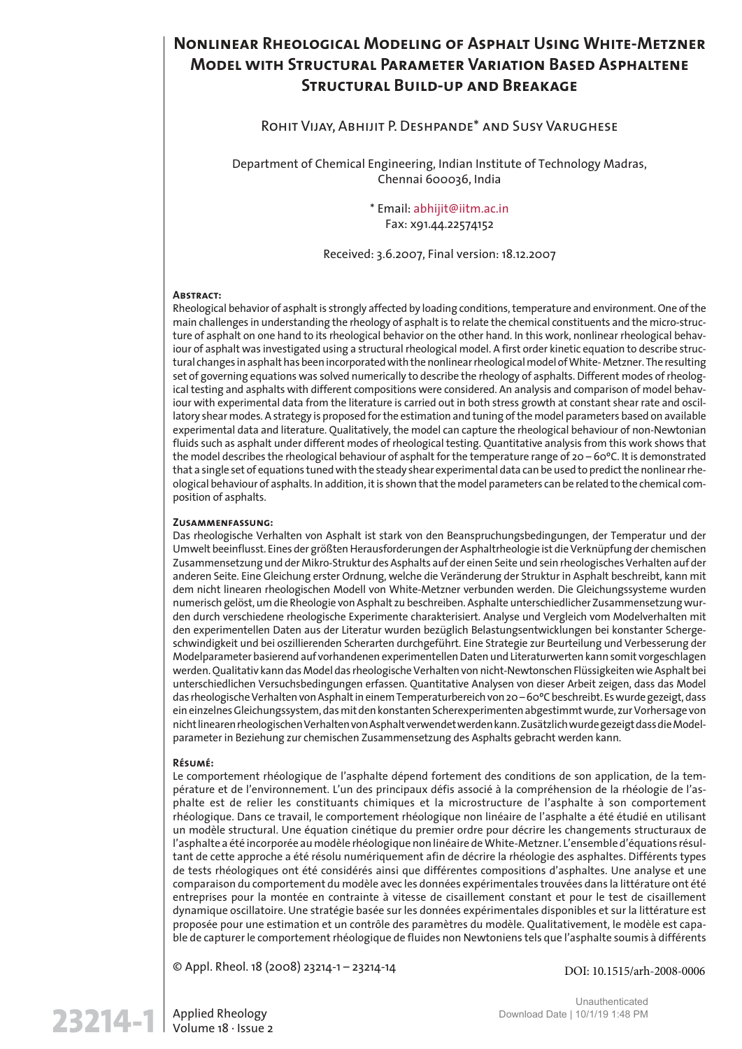# **Nonlinear Rheological Modeling of Asphalt Using White-Metzner Model with Structural Parameter Variation Based Asphaltene Structural Build-up and Breakage**

### Rohit Vijay, Abhijit P. Deshpande\* and Susy Varughese

Department of Chemical Engineering, Indian Institute of Technology Madras, Chennai 600036, India

> \* Email: abhijit@iitm.ac.in Fax: x91.44.22574152

Received: 3.6.2007, Final version: 18.12.2007

#### **Abstract:**

Rheological behavior of asphalt is strongly affected by loading conditions, temperature and environment. One of the main challenges in understanding the rheology of asphalt is to relate the chemical constituents and the micro-structure of asphalt on one hand to its rheological behavior on the other hand. In this work, nonlinear rheological behaviour of asphalt was investigated using a structural rheological model. A first order kinetic equation to describe structural changes in asphalt has been incorporated with the nonlinear rheological model of White- Metzner. The resulting set of governing equations was solved numerically to describe the rheology of asphalts. Different modes of rheological testing and asphalts with different compositions were considered. An analysis and comparison of model behaviour with experimental data from the literature is carried out in both stress growth at constant shear rate and oscillatory shear modes. A strategy is proposed for the estimation and tuning of the model parameters based on available experimental data and literature. Qualitatively, the model can capture the rheological behaviour of non-Newtonian fluids such as asphalt under different modes of rheological testing. Quantitative analysis from this work shows that the model describes the rheological behaviour of asphalt for the temperature range of 20 – 60ºC. It is demonstrated that a single set of equations tuned with the steady shear experimental data can be used to predict the nonlinear rheological behaviour of asphalts. In addition, it is shown that the model parameters can be related to the chemical composition of asphalts.

#### **Zusammenfassung:**

Das rheologische Verhalten von Asphalt ist stark von den Beanspruchungsbedingungen, der Temperatur und der Umwelt beeinflusst. Eines der größten Herausforderungen der Asphaltrheologie ist die Verknüpfung der chemischen Zusammensetzung und der Mikro-Struktur des Asphalts auf der einen Seite und sein rheologisches Verhalten auf der anderen Seite. Eine Gleichung erster Ordnung, welche die Veränderung der Struktur in Asphalt beschreibt, kann mit dem nicht linearen rheologischen Modell von White-Metzner verbunden werden. Die Gleichungssysteme wurden numerisch gelöst, um die Rheologie von Asphalt zu beschreiben. Asphalte unterschiedlicher Zusammensetzung wurden durch verschiedene rheologische Experimente charakterisiert. Analyse und Vergleich vom Modelverhalten mit den experimentellen Daten aus der Literatur wurden bezüglich Belastungsentwicklungen bei konstanter Schergeschwindigkeit und bei oszillierenden Scherarten durchgeführt. Eine Strategie zur Beurteilung und Verbesserung der Modelparameter basierend auf vorhandenen experimentellen Daten und Literaturwerten kann somit vorgeschlagen werden. Qualitativ kann das Model das rheologische Verhalten von nicht-Newtonschen Flüssigkeiten wie Asphalt bei unterschiedlichen Versuchsbedingungen erfassen. Quantitative Analysen von dieser Arbeit zeigen, dass das Model das rheologische Verhalten von Asphalt in einem Temperaturbereich von 20 – 60ºC beschreibt. Es wurde gezeigt, dass ein einzelnes Gleichungssystem, das mit den konstanten Scherexperimenten abgestimmt wurde, zur Vorhersage von nicht linearen rheologischen Verhalten von Asphalt verwendet werden kann. Zusätzlich wurde gezeigt dass die Modelparameter in Beziehung zur chemischen Zusammensetzung des Asphalts gebracht werden kann.

#### **Résumé:**

Le comportement rhéologique de l'asphalte dépend fortement des conditions de son application, de la température et de l'environnement. L'un des principaux défis associé à la compréhension de la rhéologie de l'asphalte est de relier les constituants chimiques et la microstructure de l'asphalte à son comportement rhéologique. Dans ce travail, le comportement rhéologique non linéaire de l'asphalte a été étudié en utilisant un modèle structural. Une équation cinétique du premier ordre pour décrire les changements structuraux de l'asphalte a été incorporée au modèle rhéologique non linéaire de White-Metzner. L'ensemble d'équations résultant de cette approche a été résolu numériquement afin de décrire la rhéologie des asphaltes. Différents types de tests rhéologiques ont été considérés ainsi que différentes compositions d'asphaltes. Une analyse et une comparaison du comportement du modèle avec les données expérimentales trouvées dans la littérature ont été entreprises pour la montée en contrainte à vitesse de cisaillement constant et pour le test de cisaillement dynamique oscillatoire. Une stratégie basée sur les données expérimentales disponibles et sur la littérature est proposée pour une estimation et un contrôle des paramètres du modèle. Qualitativement, le modèle est capable de capturer le comportement rhéologique de fluides non Newtoniens tels que l'asphalte soumis à différents

© Appl. Rheol. 18 (2008) 23214-1 – 23214-14

DOI: 10.1515/arh-2008-0006

 $23214-1$  Applied Rheology<br>Volume 18 · Issue 2

Unauthenticated Download Date | 10/1/19 1:48 PM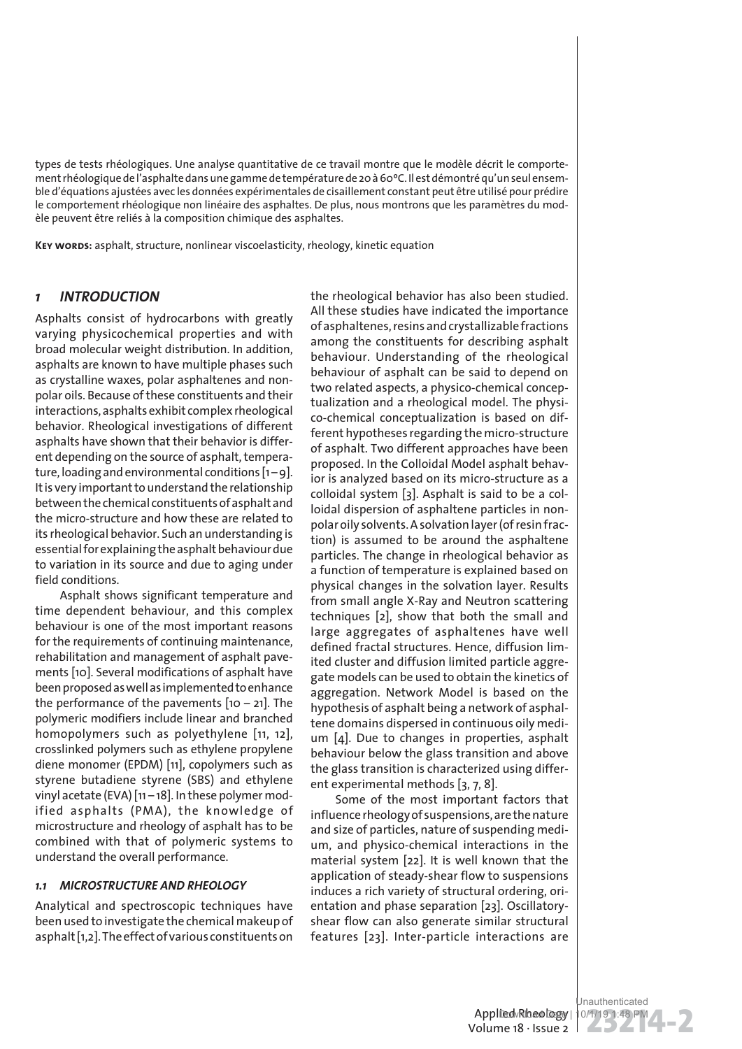types de tests rhéologiques. Une analyse quantitative de ce travail montre que le modèle décrit le comportement rhéologique de l'asphalte dans une gamme de température de 20 à 60ºC. Il est démontré qu'un seul ensemble d'équations ajustées avec les données expérimentales de cisaillement constant peut être utilisé pour prédire le comportement rhéologique non linéaire des asphaltes. De plus, nous montrons que les paramètres du modèle peuvent être reliés à la composition chimique des asphaltes.

**Key words:** asphalt, structure, nonlinear viscoelasticity, rheology, kinetic equation

### *1 INTRODUCTION*

Asphalts consist of hydrocarbons with greatly varying physicochemical properties and with broad molecular weight distribution. In addition, asphalts are known to have multiple phases such as crystalline waxes, polar asphaltenes and nonpolar oils. Because of these constituents and their interactions, asphalts exhibit complex rheological behavior. Rheological investigations of different asphalts have shown that their behavior is different depending on the source of asphalt, temperature, loading and environmental conditions  $[1 - 9]$ . It is very important to understand the relationship between the chemical constituents of asphalt and the micro-structure and how these are related to its rheological behavior. Such an understanding is essential for explaining the asphalt behaviour due to variation in its source and due to aging under field conditions.

Asphalt shows significant temperature and time dependent behaviour, and this complex behaviour is one of the most important reasons for the requirements of continuing maintenance, rehabilitation and management of asphalt pavements [10]. Several modifications of asphalt have been proposed as well as implemented to enhance the performance of the pavements  $[10 - 21]$ . The polymeric modifiers include linear and branched homopolymers such as polyethylene [11, 12], crosslinked polymers such as ethylene propylene diene monomer (EPDM) [11], copolymers such as styrene butadiene styrene (SBS) and ethylene vinyl acetate (EVA) [11 – 18]. In these polymer modified asphalts (PMA), the knowledge of microstructure and rheology of asphalt has to be combined with that of polymeric systems to understand the overall performance.

### *1.1 MICROSTRUCTURE AND RHEOLOGY*

Analytical and spectroscopic techniques have been used to investigate the chemical makeup of asphalt [1,2]. The effect of various constituents on the rheological behavior has also been studied. All these studies have indicated the importance of asphaltenes, resins and crystallizable fractions among the constituents for describing asphalt behaviour. Understanding of the rheological behaviour of asphalt can be said to depend on two related aspects, a physico-chemical conceptualization and a rheological model. The physico-chemical conceptualization is based on different hypotheses regarding the micro-structure of asphalt. Two different approaches have been proposed. In the Colloidal Model asphalt behavior is analyzed based on its micro-structure as a colloidal system [3]. Asphalt is said to be a colloidal dispersion of asphaltene particles in nonpolar oily solvents. A solvation layer (of resin fraction) is assumed to be around the asphaltene particles. The change in rheological behavior as a function of temperature is explained based on physical changes in the solvation layer. Results from small angle X-Ray and Neutron scattering techniques [2], show that both the small and large aggregates of asphaltenes have well defined fractal structures. Hence, diffusion limited cluster and diffusion limited particle aggregate models can be used to obtain the kinetics of aggregation. Network Model is based on the hypothesis of asphalt being a network of asphaltene domains dispersed in continuous oily medium [4]. Due to changes in properties, asphalt behaviour below the glass transition and above the glass transition is characterized using different experimental methods [3, 7, 8].

Some of the most important factors that influence rheology of suspensions, are the nature and size of particles, nature of suspending medium, and physico-chemical interactions in the material system [22]. It is well known that the application of steady-shear flow to suspensions induces a rich variety of structural ordering, orientation and phase separation [23]. Oscillatoryshear flow can also generate similar structural features [23]. Inter-particle interactions are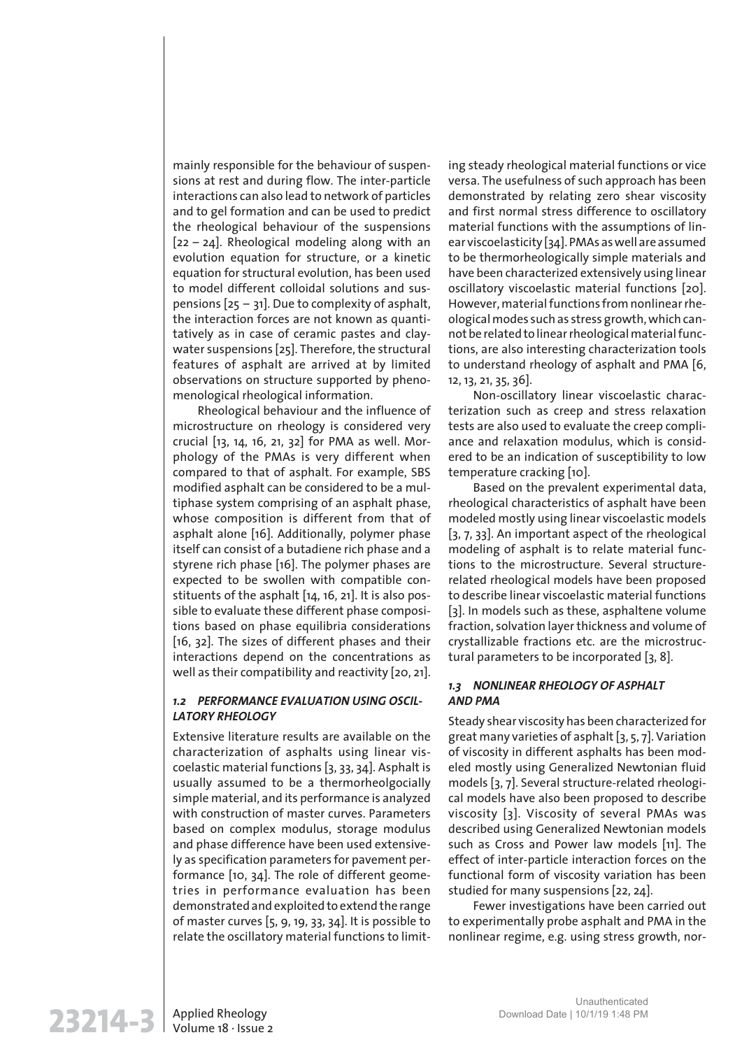mainly responsible for the behaviour of suspensions at rest and during flow. The inter-particle interactions can also lead to network of particles and to gel formation and can be used to predict the rheological behaviour of the suspensions [22 – 24]. Rheological modeling along with an evolution equation for structure, or a kinetic equation for structural evolution, has been used to model different colloidal solutions and suspensions  $[25 - 31]$ . Due to complexity of asphalt, the interaction forces are not known as quantitatively as in case of ceramic pastes and claywater suspensions [25]. Therefore, the structural features of asphalt are arrived at by limited observations on structure supported by phenomenological rheological information.

Rheological behaviour and the influence of microstructure on rheology is considered very crucial [13, 14, 16, 21, 32] for PMA as well. Morphology of the PMAs is very different when compared to that of asphalt. For example, SBS modified asphalt can be considered to be a multiphase system comprising of an asphalt phase, whose composition is different from that of asphalt alone [16]. Additionally, polymer phase itself can consist of a butadiene rich phase and a styrene rich phase [16]. The polymer phases are expected to be swollen with compatible constituents of the asphalt [14, 16, 21]. It is also possible to evaluate these different phase compositions based on phase equilibria considerations [16, 32]. The sizes of different phases and their interactions depend on the concentrations as well as their compatibility and reactivity [20, 21].

### *1.2 PERFORMANCE EVALUATION USING OSCIL-LATORY RHEOLOGY*

Extensive literature results are available on the characterization of asphalts using linear viscoelastic material functions [3, 33, 34]. Asphalt is usually assumed to be a thermorheolgocially simple material, and its performance is analyzed with construction of master curves. Parameters based on complex modulus, storage modulus and phase difference have been used extensively as specification parameters for pavement performance [10, 34]. The role of different geometries in performance evaluation has been demonstrated and exploited to extend the range of master curves [5, 9, 19, 33, 34]. It is possible to relate the oscillatory material functions to limiting steady rheological material functions or vice versa. The usefulness of such approach has been demonstrated by relating zero shear viscosity and first normal stress difference to oscillatory material functions with the assumptions of linear viscoelasticity [34]. PMAs as well are assumed to be thermorheologically simple materials and have been characterized extensively using linear oscillatory viscoelastic material functions [20]. However, material functions from nonlinear rheological modes such as stress growth, which cannot be related to linear rheological material functions, are also interesting characterization tools to understand rheology of asphalt and PMA [6, 12, 13, 21, 35, 36].

Non-oscillatory linear viscoelastic characterization such as creep and stress relaxation tests are also used to evaluate the creep compliance and relaxation modulus, which is considered to be an indication of susceptibility to low temperature cracking [10].

Based on the prevalent experimental data, rheological characteristics of asphalt have been modeled mostly using linear viscoelastic models [3, 7, 33]. An important aspect of the rheological modeling of asphalt is to relate material functions to the microstructure. Several structurerelated rheological models have been proposed to describe linear viscoelastic material functions [3]. In models such as these, asphaltene volume fraction, solvation layer thickness and volume of crystallizable fractions etc. are the microstructural parameters to be incorporated [3, 8].

### *1.3 NONLINEAR RHEOLOGY OF ASPHALT AND PMA*

Steady shear viscosity has been characterized for great many varieties of asphalt [3, 5, 7]. Variation of viscosity in different asphalts has been modeled mostly using Generalized Newtonian fluid models [3, 7]. Several structure-related rheological models have also been proposed to describe viscosity [3]. Viscosity of several PMAs was described using Generalized Newtonian models such as Cross and Power law models [11]. The effect of inter-particle interaction forces on the functional form of viscosity variation has been studied for many suspensions [22, 24].

Fewer investigations have been carried out to experimentally probe asphalt and PMA in the nonlinear regime, e.g. using stress growth, nor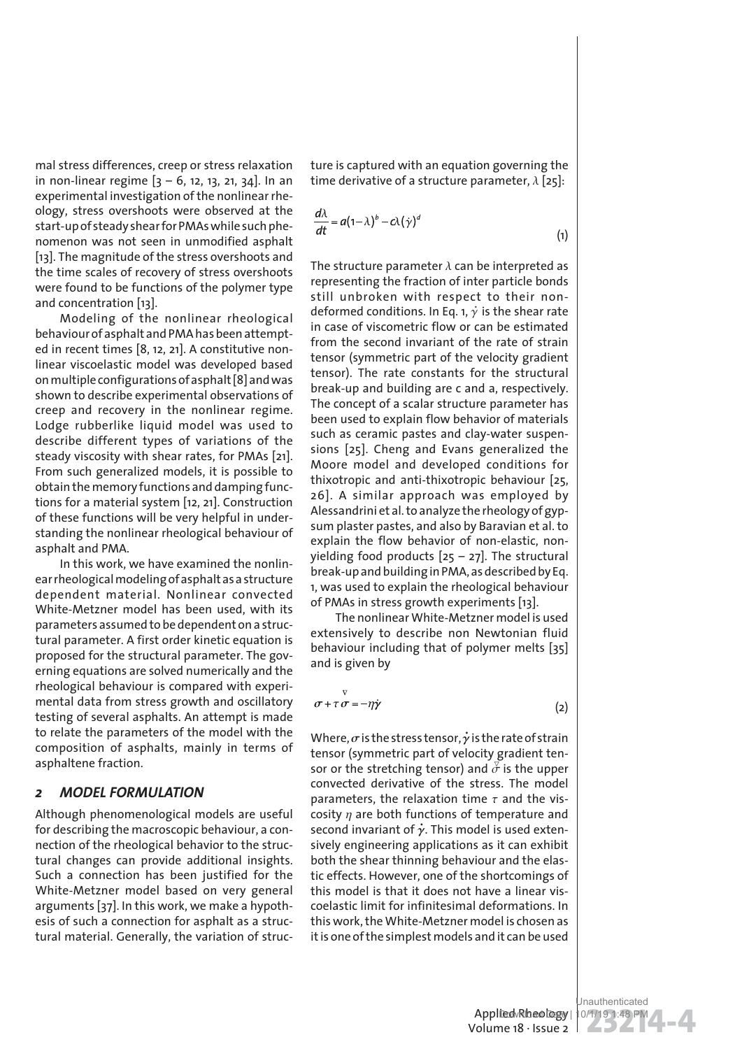mal stress differences, creep or stress relaxation in non-linear regime  $[3 - 6, 12, 13, 21, 34]$ . In an experimental investigation of the nonlinear rheology, stress overshoots were observed at the start-up of steady shear for PMAs while such phenomenon was not seen in unmodified asphalt [13]. The magnitude of the stress overshoots and the time scales of recovery of stress overshoots were found to be functions of the polymer type and concentration [13].

Modeling of the nonlinear rheological behaviour of asphalt and PMA has been attempted in recent times [8, 12, 21]. A constitutive nonlinear viscoelastic model was developed based on multiple configurations of asphalt [8] and was shown to describe experimental observations of creep and recovery in the nonlinear regime. Lodge rubberlike liquid model was used to describe different types of variations of the steady viscosity with shear rates, for PMAs [21]. From such generalized models, it is possible to obtain the memory functions and damping functions for a material system [12, 21]. Construction of these functions will be very helpful in understanding the nonlinear rheological behaviour of asphalt and PMA.

In this work, we have examined the nonlinear rheological modeling of asphalt as a structure dependent material. Nonlinear convected White-Metzner model has been used, with its parameters assumed to be dependent on a structural parameter. A first order kinetic equation is proposed for the structural parameter. The governing equations are solved numerically and the rheological behaviour is compared with experimental data from stress growth and oscillatory testing of several asphalts. An attempt is made to relate the parameters of the model with the composition of asphalts, mainly in terms of asphaltene fraction.

### *2 MODEL FORMULATION*

Although phenomenological models are useful for describing the macroscopic behaviour, a connection of the rheological behavior to the structural changes can provide additional insights. Such a connection has been justified for the White-Metzner model based on very general arguments [37]. In this work, we make a hypothesis of such a connection for asphalt as a structural material. Generally, the variation of structure is captured with an equation governing the time derivative of a structure parameter,  $\lambda$  [25]:

$$
\frac{d\lambda}{dt} = a(1-\lambda)^b - c\lambda(\dot{\gamma})^d
$$
 (1)

The structure parameter  $\lambda$  can be interpreted as representing the fraction of inter particle bonds still unbroken with respect to their nondeformed conditions. In Eq. 1,  $\dot{\gamma}$  is the shear rate in case of viscometric flow or can be estimated from the second invariant of the rate of strain tensor (symmetric part of the velocity gradient tensor). The rate constants for the structural break-up and building are c and a, respectively. The concept of a scalar structure parameter has been used to explain flow behavior of materials such as ceramic pastes and clay-water suspensions [25]. Cheng and Evans generalized the Moore model and developed conditions for thixotropic and anti-thixotropic behaviour [25, 26]. A similar approach was employed by Alessandrini et al. to analyze the rheology of gypsum plaster pastes, and also by Baravian et al. to explain the flow behavior of non-elastic, nonyielding food products  $[25 - 27]$ . The structural break-up and building in PMA, as described by Eq. 1, was used to explain the rheological behaviour of PMAs in stress growth experiments [13].

The nonlinear White-Metzner model is used extensively to describe non Newtonian fluid behaviour including that of polymer melts [35] and is given by

$$
\sigma + \tau \sigma = -\eta \dot{\gamma} \tag{2}
$$

Where,  $\sigma$  is the stress tensor,  $\dot{\gamma}$  is the rate of strain tensor (symmetric part of velocity gradient tensor or the stretching tensor) and  $\overline{\sigma}$  is the upper convected derivative of the stress. The model parameters, the relaxation time  $\tau$  and the viscosity  $n$  are both functions of temperature and second invariant of  $\dot{\gamma}$ . This model is used extensively engineering applications as it can exhibit both the shear thinning behaviour and the elastic effects. However, one of the shortcomings of this model is that it does not have a linear viscoelastic limit for infinitesimal deformations. In this work, the White-Metzner model is chosen as it is one of the simplest models and it can be used

Volume 18 · Issue 2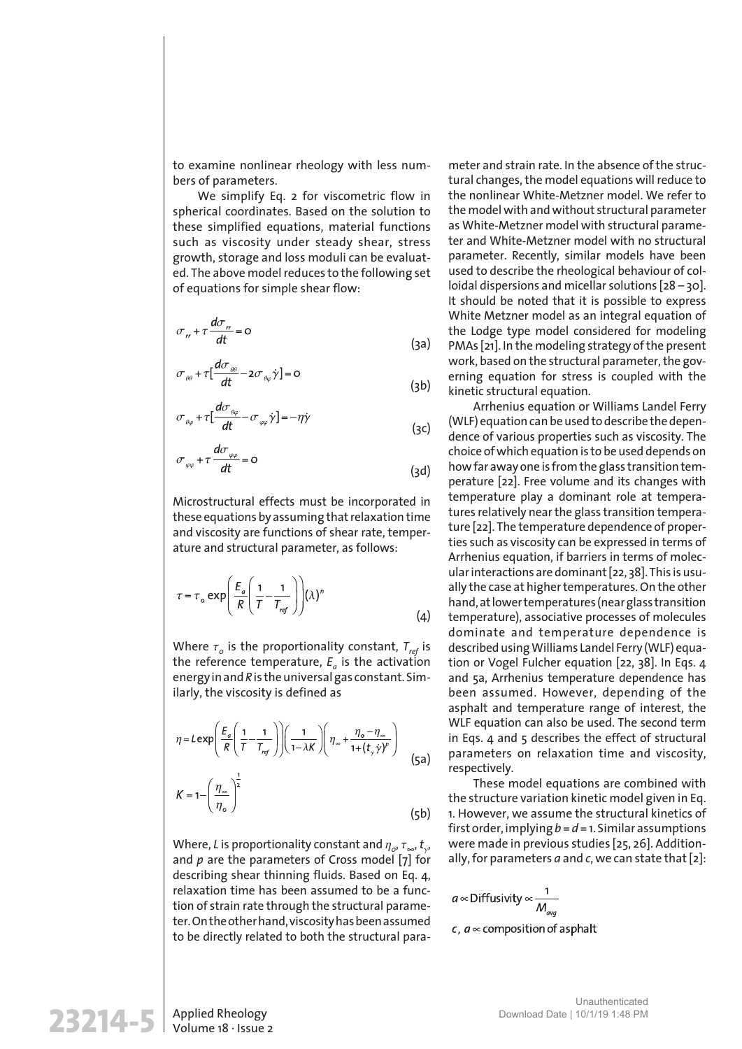to examine nonlinear rheology with less numbers of parameters.

We simplify Eq. 2 for viscometric flow in spherical coordinates. Based on the solution to these simplified equations, material functions such as viscosity under steady shear, stress growth, storage and loss moduli can be evaluated. The above model reduces to the following set of equations for simple shear flow:

$$
\sigma_{tt} + \tau \frac{d\sigma_{tt}}{dt} = 0
$$
 (3a)

$$
\sigma_{\theta\theta} + \tau \left[ \frac{d\sigma_{\theta\theta}}{dt} - 2\sigma_{\theta\varphi} \dot{\gamma} \right] = 0
$$
 (3b)

$$
\sigma_{\theta\varphi} + \tau \left[ \frac{d\sigma_{\theta\varphi}}{dt} - \sigma_{\varphi\varphi} \dot{\gamma} \right] = -\eta \dot{\gamma}
$$

$$
\sigma_{\varphi\varphi} + \tau \frac{d\sigma_{\varphi\varphi}}{dt} = 0
$$
 (3d)

(3c)

Microstructural effects must be incorporated in these equations by assuming that relaxation time and viscosity are functions of shear rate, temperature and structural parameter, as follows:

$$
\tau = \tau_o \exp\left(\frac{E_a}{R} \left(\frac{1}{T} - \frac{1}{T_{ref}}\right)\right) (\lambda)^n \tag{4}
$$

Where  $\tau_o$  is the proportionality constant,  $T_{\mathit{ref}}$  is the reference temperature, *E<sup>a</sup>* is the activation energy in and *R*is the universal gas constant. Similarly, the viscosity is defined as

$$
\eta = L \exp\left(\frac{E_a}{R} \left(\frac{1}{T} - \frac{1}{T_{ref}}\right)\right) \left(\frac{1}{1 - \lambda K}\right) \left(\eta_{\infty} + \frac{\eta_o - \eta_{\infty}}{1 + (t_{\gamma} \gamma)^p}\right)
$$
(5a)  

$$
K = 1 - \left(\frac{\eta_{\infty}}{\eta_o}\right)^{\frac{1}{2}}
$$
(5b)

Where, *L* is proportionality constant and  $\eta_o$ ,  $\tau_{\scriptscriptstyle\infty}$ ,  $t_{\scriptscriptstyle\gamma}$ , and *p* are the parameters of Cross model [7] for describing shear thinning fluids. Based on Eq. 4, relaxation time has been assumed to be a function of strain rate through the structural parameter. On the other hand, viscosity has been assumed to be directly related to both the structural parameter and strain rate. In the absence of the structural changes, the model equations will reduce to the nonlinear White-Metzner model. We refer to the model with and without structural parameter as White-Metzner model with structural parameter and White-Metzner model with no structural parameter. Recently, similar models have been used to describe the rheological behaviour of colloidal dispersions and micellar solutions [28 – 30]. It should be noted that it is possible to express White Metzner model as an integral equation of the Lodge type model considered for modeling PMAs [21]. In the modeling strategy of the present work, based on the structural parameter, the governing equation for stress is coupled with the kinetic structural equation.

Arrhenius equation or Williams Landel Ferry (WLF) equation can be used to describe the dependence of various properties such as viscosity. The choice of which equation is to be used depends on how far away one is from the glass transition temperature [22]. Free volume and its changes with temperature play a dominant role at temperatures relatively near the glass transition temperature [22]. The temperature dependence of properties such as viscosity can be expressed in terms of Arrhenius equation, if barriers in terms of molecular interactions are dominant [22, 38]. This is usually the case at higher temperatures. On the other hand, at lower temperatures (near glass transition temperature), associative processes of molecules dominate and temperature dependence is described using Williams Landel Ferry (WLF) equation or Vogel Fulcher equation [22, 38]. In Eqs. 4 and 5a, Arrhenius temperature dependence has been assumed. However, depending of the asphalt and temperature range of interest, the WLF equation can also be used. The second term in Eqs. 4 and 5 describes the effect of structural parameters on relaxation time and viscosity, respectively.

These model equations are combined with the structure variation kinetic model given in Eq. 1. However, we assume the structural kinetics of first order, implying *b*= *d*= 1. Similar assumptions were made in previous studies [25, 26]. Additionally, for parameters *a* and *c*, we can state that [2]:

$$
a \propto
$$
 Diffusivity  $\propto \frac{1}{M_{\text{av}}}$ 

c,  $a \in \text{composition of a sphalt}$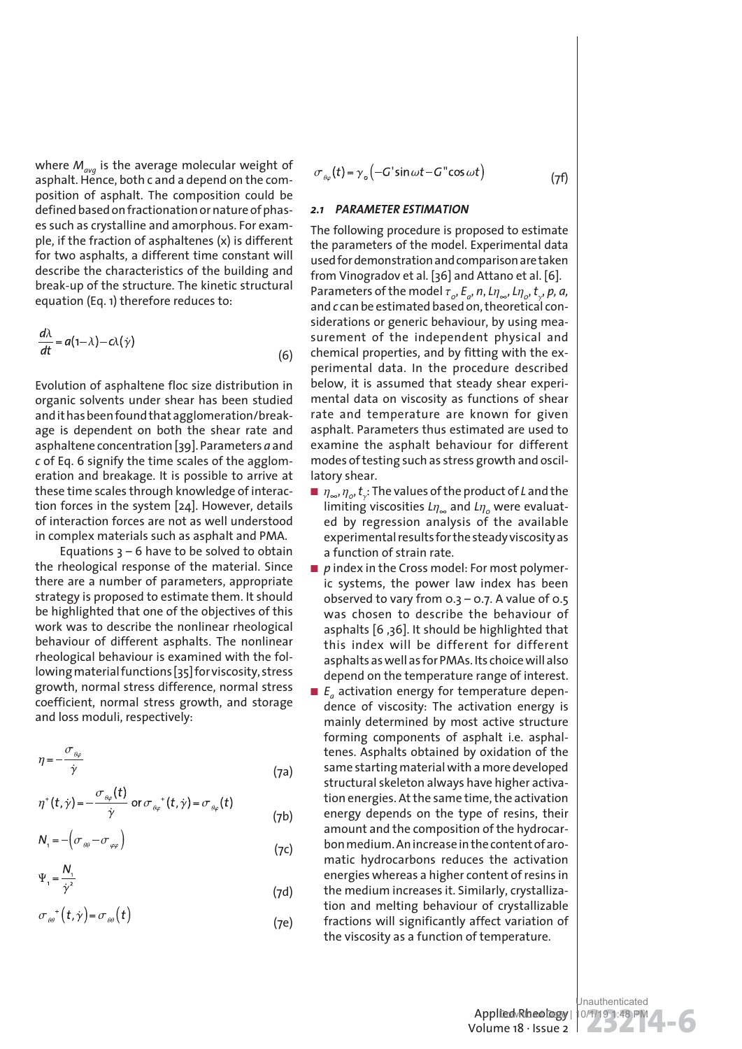where *Mavg* is the average molecular weight of asphalt. Hence, both c and a depend on the composition of asphalt. The composition could be defined based on fractionation or nature of phases such as crystalline and amorphous. For example, if the fraction of asphaltenes (x) is different for two asphalts, a different time constant will describe the characteristics of the building and break-up of the structure. The kinetic structural equation (Eq. 1) therefore reduces to:

$$
\frac{d\lambda}{dt} = a(1-\lambda) - c\lambda(\dot{\gamma})
$$

Evolution of asphaltene floc size distribution in organic solvents under shear has been studied and it has been found that agglomeration/breakage is dependent on both the shear rate and asphaltene concentration [39]. Parameters *a* and *c* of Eq. 6 signify the time scales of the agglomeration and breakage. It is possible to arrive at these time scales through knowledge of interaction forces in the system [24]. However, details of interaction forces are not as well understood in complex materials such as asphalt and PMA.

Equations  $3 - 6$  have to be solved to obtain the rheological response of the material. Since there are a number of parameters, appropriate strategy is proposed to estimate them. It should be highlighted that one of the objectives of this work was to describe the nonlinear rheological behaviour of different asphalts. The nonlinear rheological behaviour is examined with the following material functions [35] for viscosity, stress growth, normal stress difference, normal stress coefficient, normal stress growth, and storage and loss moduli, respectively:

$$
\eta = -\frac{\sigma_{\theta\varphi}}{\dot{\gamma}}
$$
 (7a)

$$
\eta^+(t,\dot{\gamma})=-\frac{\sigma_{\theta\varphi}(t)}{\dot{\gamma}}\ \text{or}\ \sigma_{\theta\varphi}^-(t,\dot{\gamma})=\sigma_{\theta\varphi}(t)
$$

$$
N_1 = -\left(\sigma_{\theta\theta} - \sigma_{\varphi\varphi}\right) \tag{7c}
$$

$$
\Psi_{1} = \frac{N_{1}}{\dot{\gamma}^{2}}
$$
\n
$$
\sigma_{\theta\theta}^{+}(t,\dot{\gamma}) = \sigma_{\theta\theta}(t)
$$
\n(7d)

$$
\sigma_{\theta_0}(t) = \gamma_0 \left( -G' \sin \omega t - G'' \cos \omega t \right)
$$

(7f)

#### *2.1 PARAMETER ESTIMATION*

(6)

(7b)

 $(7e)$ 

The following procedure is proposed to estimate the parameters of the model. Experimental data used for demonstration and comparison are taken from Vinogradov et al. [36] and Attano et al. [6]. Parameters of the model  $\tau_o$ ,  $E_a$ ,  $n$ ,  $L\eta_{\infty}$ ,  $L\eta_{o}$ ,  $t_{\gamma}$ ,  $p$ ,  $a$ , and *c* can be estimated based on, theoretical considerations or generic behaviour, by using measurement of the independent physical and chemical properties, and by fitting with the experimental data. In the procedure described below, it is assumed that steady shear experimental data on viscosity as functions of shear rate and temperature are known for given asphalt. Parameters thus estimated are used to examine the asphalt behaviour for different modes of testing such as stress growth and oscillatory shear.

- h*∞*, h*<sup>0</sup>* , *t* g : The values of the product of *L* and the limiting viscosities  $L\eta_{\infty}$  and  $L\eta_{o}$  were evaluated by regression analysis of the available experimental results for the steady viscosity as a function of strain rate.
- *p* index in the Cross model: For most polymeric systems, the power law index has been observed to vary from  $0.3 - 0.7$ . A value of  $0.5$ was chosen to describe the behaviour of asphalts [6 ,36]. It should be highlighted that this index will be different for different asphalts as well as for PMAs. Its choice will also depend on the temperature range of interest.
- *E<sub>a</sub>* activation energy for temperature dependence of viscosity: The activation energy is mainly determined by most active structure forming components of asphalt i.e. asphaltenes. Asphalts obtained by oxidation of the same starting material with a more developed structural skeleton always have higher activation energies. At the same time, the activation energy depends on the type of resins, their amount and the composition of the hydrocarbon medium. An increase in the content of aromatic hydrocarbons reduces the activation energies whereas a higher content of resins in the medium increases it. Similarly, crystallization and melting behaviour of crystallizable fractions will significantly affect variation of the viscosity as a function of temperature.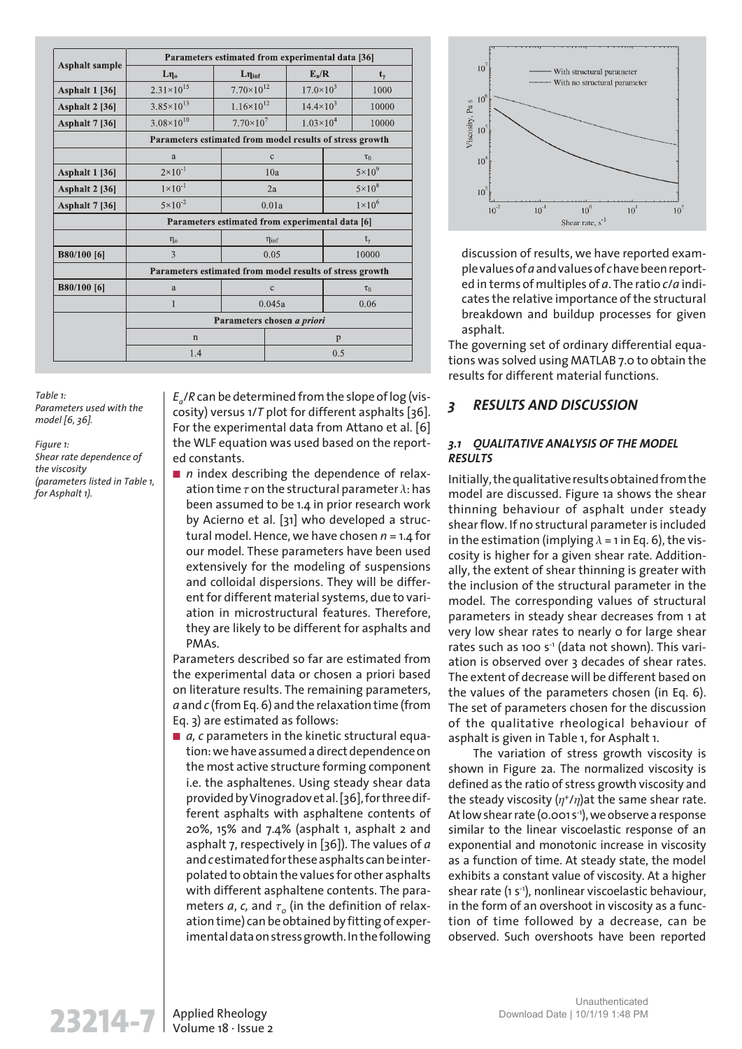| <b>Asphalt sample</b> | Parameters estimated from experimental data [36]         |                                           |                                               |                      |                 |          |
|-----------------------|----------------------------------------------------------|-------------------------------------------|-----------------------------------------------|----------------------|-----------------|----------|
|                       | $L\eta_0$                                                | $L\eta_{\text{inf}}$                      |                                               | $E_a/R$              | $t_{\gamma}$    |          |
| <b>Asphalt 1 [36]</b> | $2.31 \times 10^{15}$                                    | $7.70\times10^{12}$<br>$17.0 \times 10^3$ |                                               |                      | 1000            |          |
| <b>Asphalt 2 [36]</b> | $3.85 \times 10^{13}$                                    |                                           | $1.16 \times 10^{12}$<br>$14.4 \times 10^{3}$ |                      |                 | 10000    |
| <b>Asphalt 7 [36]</b> | $3.08\times10^{10}$                                      | $7.70\times10^{7}$                        |                                               | $1.03 \times 10^{4}$ |                 | 10000    |
|                       | Parameters estimated from model results of stress growth |                                           |                                               |                      |                 |          |
|                       | a                                                        | $\mathbf{C}$                              |                                               | $\tau_0$             |                 |          |
| <b>Asphalt 1 [36]</b> | $2\times10^{-1}$                                         | 10a                                       |                                               |                      | $5 \times 10^9$ |          |
| <b>Asphalt 2 [36]</b> | $1 \times 10^{-1}$                                       | 2a                                        |                                               |                      | $5\times10^8$   |          |
| Asphalt 7 [36]        | $5 \times 10^{-2}$                                       | 0.01a                                     |                                               |                      | $1\times10^6$   |          |
|                       | Parameters estimated from experimental data [6]          |                                           |                                               |                      |                 |          |
|                       | $\eta_{o}$                                               |                                           | $\eta_{\text{inf}}$                           |                      |                 | $t_{y}$  |
| <b>B80/100 [6]</b>    | $\mathcal{E}$                                            | 0.05                                      |                                               |                      |                 | 10000    |
|                       | Parameters estimated from model results of stress growth |                                           |                                               |                      |                 |          |
| B80/100 [6]           | a                                                        | $\mathbf{c}$                              |                                               |                      |                 | $\tau_0$ |
|                       | 1                                                        | 0.045a                                    |                                               |                      | 0.06            |          |
|                       | Parameters chosen a priori                               |                                           |                                               |                      |                 |          |
|                       | $\mathbf n$                                              |                                           | p                                             |                      |                 |          |
|                       | 1.4                                                      |                                           | 0.5                                           |                      |                 |          |

*Table 1: Parameters used with the model [6, 36].*

*Figure 1: Shear rate dependence of the viscosity (parameters listed in Table 1, for Asphalt 1).*

*Ea* /*R* can be determined from the slope of log (viscosity) versus 1/*T* plot for different asphalts [36]. For the experimental data from Attano et al. [6] the WLF equation was used based on the reported constants.

■ *n* index describing the dependence of relaxation time  $\tau$  on the structural parameter  $\lambda$ : has been assumed to be 1.4 in prior research work by Acierno et al. [31] who developed a structural model. Hence, we have chosen *n* = 1.4 for our model. These parameters have been used extensively for the modeling of suspensions and colloidal dispersions. They will be different for different material systems, due to variation in microstructural features. Therefore, they are likely to be different for asphalts and PMAs.

Parameters described so far are estimated from the experimental data or chosen a priori based on literature results. The remaining parameters, *a* and *c* (from Eq. 6) and the relaxation time (from Eq. 3) are estimated as follows:

■ *a, c* parameters in the kinetic structural equation: we have assumed a direct dependence on the most active structure forming component i.e. the asphaltenes. Using steady shear data provided by Vinogradov et al. [36], for three different asphalts with asphaltene contents of 20%, 15% and 7.4% (asphalt 1, asphalt 2 and asphalt 7, respectively in [36]). The values of *a* and *c*estimated for these asphalts can be interpolated to obtain the values for other asphalts with different asphaltene contents. The parameters  $a$ ,  $c$ , and  $\tau_{_O}$  (in the definition of relaxation time) can be obtained by fitting of experimental data on stress growth. In the following



discussion of results, we have reported example values of *a* and values of *c* have been reported in terms of multiples of *a*. The ratio *c*/*a* indicates the relative importance of the structural breakdown and buildup processes for given asphalt.

The governing set of ordinary differential equations was solved using MATLAB 7.0 to obtain the results for different material functions.

## *3 RESULTS AND DISCUSSION*

## *3.1 QUALITATIVE ANALYSIS OF THE MODEL RESULTS*

Initially, the qualitative results obtained from the model are discussed. Figure 1a shows the shear thinning behaviour of asphalt under steady shear flow. If no structural parameter is included in the estimation (implying  $\lambda = 1$  in Eq. 6), the viscosity is higher for a given shear rate. Additionally, the extent of shear thinning is greater with the inclusion of the structural parameter in the model. The corresponding values of structural parameters in steady shear decreases from 1 at very low shear rates to nearly o for large shear rates such as 100 s-1 (data not shown). This variation is observed over 3 decades of shear rates. The extent of decrease will be different based on the values of the parameters chosen (in Eq. 6). The set of parameters chosen for the discussion of the qualitative rheological behaviour of asphalt is given in Table 1, for Asphalt 1.

The variation of stress growth viscosity is shown in Figure 2a. The normalized viscosity is defined as the ratio of stress growth viscosity and the steady viscosity  $(\eta^*/\eta)$ at the same shear rate. At low shear rate (0.001 s-1), we observe a response similar to the linear viscoelastic response of an exponential and monotonic increase in viscosity as a function of time. At steady state, the model exhibits a constant value of viscosity. At a higher shear rate (1 s-1), nonlinear viscoelastic behaviour, in the form of an overshoot in viscosity as a function of time followed by a decrease, can be observed. Such overshoots have been reported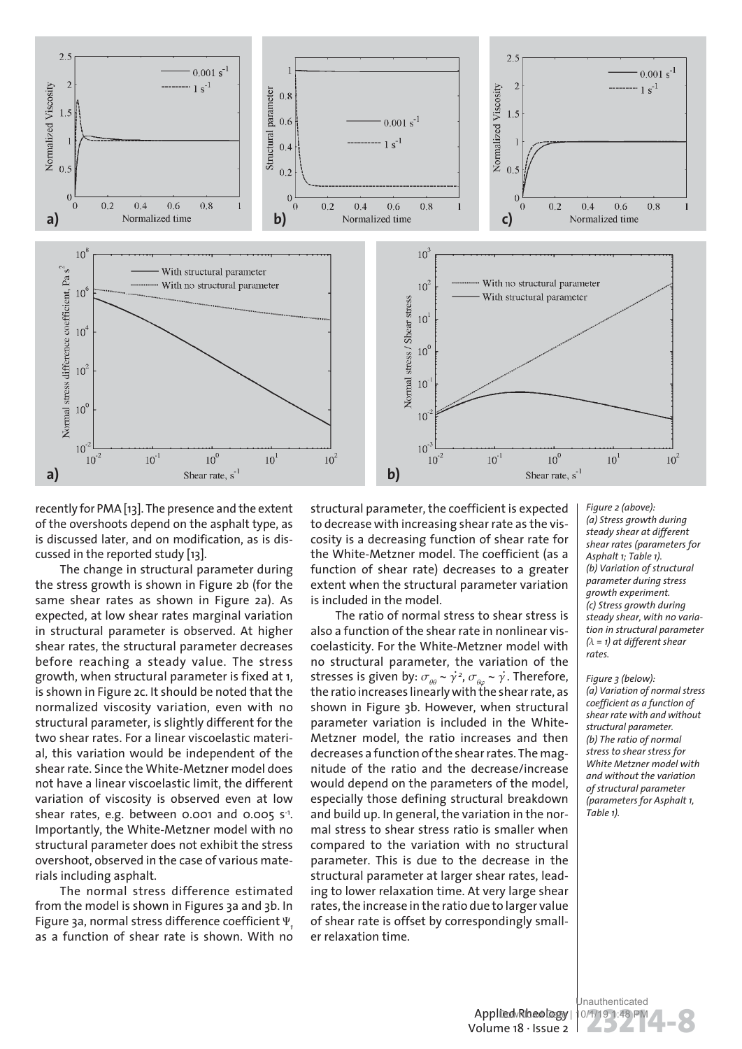

recently for PMA [13]. The presence and the extent of the overshoots depend on the asphalt type, as is discussed later, and on modification, as is discussed in the reported study [13].

The change in structural parameter during the stress growth is shown in Figure 2b (for the same shear rates as shown in Figure 2a). As expected, at low shear rates marginal variation in structural parameter is observed. At higher shear rates, the structural parameter decreases before reaching a steady value. The stress growth, when structural parameter is fixed at 1, is shown in Figure 2c. It should be noted that the normalized viscosity variation, even with no structural parameter, is slightly different for the two shear rates. For a linear viscoelastic material, this variation would be independent of the shear rate. Since the White-Metzner model does not have a linear viscoelastic limit, the different variation of viscosity is observed even at low shear rates, e.g. between 0.001 and 0.005 s-1 . Importantly, the White-Metzner model with no structural parameter does not exhibit the stress overshoot, observed in the case of various materials including asphalt.

The normal stress difference estimated from the model is shown in Figures 3a and 3b. In Figure 3a, normal stress difference coefficient Y*<sup>1</sup>* as a function of shear rate is shown. With no

structural parameter, the coefficient is expected to decrease with increasing shear rate as the viscosity is a decreasing function of shear rate for the White-Metzner model. The coefficient (as a function of shear rate) decreases to a greater extent when the structural parameter variation is included in the model.

The ratio of normal stress to shear stress is also a function of the shear rate in nonlinear viscoelasticity. For the White-Metzner model with no structural parameter, the variation of the stresses is given by:  $\sigma_{\theta\theta} \sim \dot{\gamma}^2$ ,  $\sigma_{\theta\varphi} \sim \dot{\gamma}$ . Therefore, the ratio increases linearly with the shear rate, as shown in Figure 3b. However, when structural parameter variation is included in the White-Metzner model, the ratio increases and then decreases a function of the shear rates. The magnitude of the ratio and the decrease/increase would depend on the parameters of the model, especially those defining structural breakdown and build up. In general, the variation in the normal stress to shear stress ratio is smaller when compared to the variation with no structural parameter. This is due to the decrease in the structural parameter at larger shear rates, leading to lower relaxation time. At very large shear rates, the increase in the ratio due to larger value of shear rate is offset by correspondingly smaller relaxation time.

*Figure 2 (above): (a) Stress growth during steady shear at different shear rates (parameters for Asphalt 1; Table 1). (b) Variation of structural parameter during stress growth experiment. (c) Stress growth during steady shear, with no variation in structural parameter*  $(\lambda = 1)$  at different shear *rates.*

*Figure 3 (below): (a) Variation of normal stress coefficient as a function of shear rate with and without structural parameter. (b) The ratio of normal stress to shear stress for White Metzner model with and without the variation of structural parameter (parameters for Asphalt 1, Table 1).*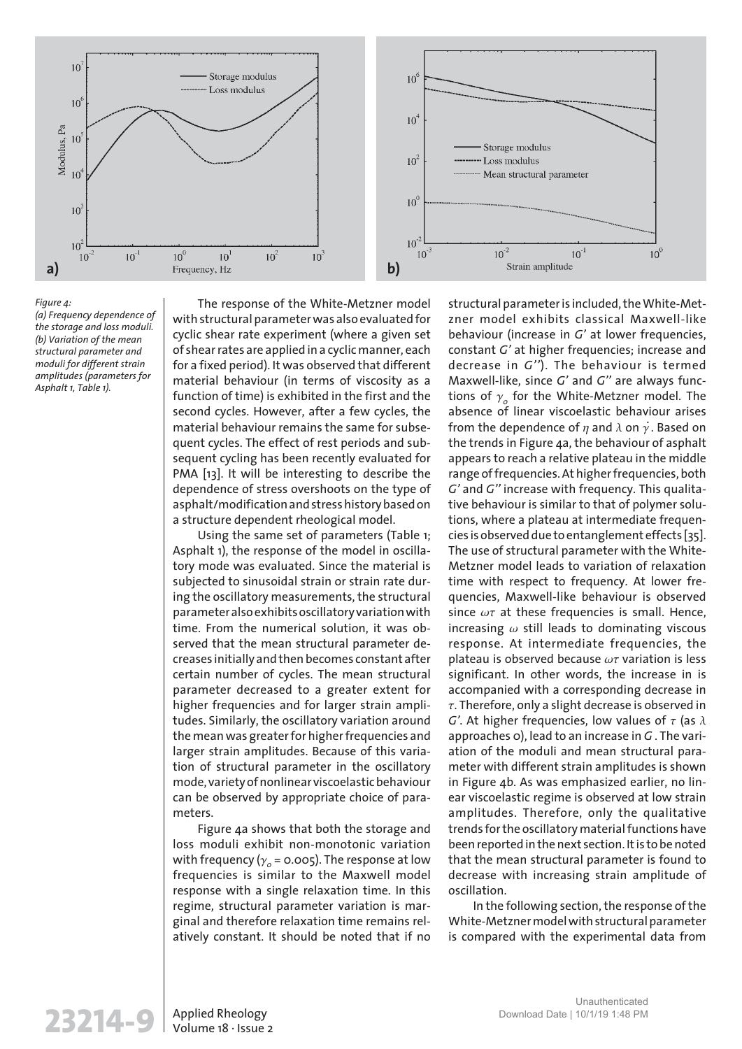

#### *Figure 4:*

*(a) Frequency dependence of the storage and loss moduli. (b) Variation of the mean structural parameter and moduli for different strain amplitudes (parameters for Asphalt 1, Table 1).*

The response of the White-Metzner model with structural parameter was also evaluated for cyclic shear rate experiment (where a given set of shear rates are applied in a cyclic manner, each for a fixed period). It was observed that different material behaviour (in terms of viscosity as a function of time) is exhibited in the first and the second cycles. However, after a few cycles, the material behaviour remains the same for subsequent cycles. The effect of rest periods and subsequent cycling has been recently evaluated for PMA [13]. It will be interesting to describe the dependence of stress overshoots on the type of asphalt/modification and stress history based on a structure dependent rheological model.

Using the same set of parameters (Table 1; Asphalt 1), the response of the model in oscillatory mode was evaluated. Since the material is subjected to sinusoidal strain or strain rate during the oscillatory measurements, the structural parameter also exhibits oscillatory variation with time. From the numerical solution, it was observed that the mean structural parameter decreases initially and then becomes constant after certain number of cycles. The mean structural parameter decreased to a greater extent for higher frequencies and for larger strain amplitudes. Similarly, the oscillatory variation around the mean was greater for higher frequencies and larger strain amplitudes. Because of this variation of structural parameter in the oscillatory mode, variety of nonlinear viscoelastic behaviour can be observed by appropriate choice of parameters.

Figure 4a shows that both the storage and loss moduli exhibit non-monotonic variation with frequency ( $\gamma_o$  = 0.005). The response at low frequencies is similar to the Maxwell model response with a single relaxation time. In this regime, structural parameter variation is marginal and therefore relaxation time remains relatively constant. It should be noted that if no

structural parameter is included, the White-Metzner model exhibits classical Maxwell-like behaviour (increase in *G'* at lower frequencies, constant *G'* at higher frequencies; increase and decrease in *G''*). The behaviour is termed Maxwell-like, since *G'* and *G''* are always functions of  $\gamma_o$  for the White-Metzner model. The absence of linear viscoelastic behaviour arises from the dependence of  $\eta$  and  $\lambda$  on  $\dot{\gamma}$ . Based on the trends in Figure 4a, the behaviour of asphalt appears to reach a relative plateau in the middle range of frequencies. At higher frequencies, both *G'* and *G''* increase with frequency. This qualitative behaviour is similar to that of polymer solutions, where a plateau at intermediate frequencies is observed due to entanglement effects [35]. The use of structural parameter with the White-Metzner model leads to variation of relaxation time with respect to frequency. At lower frequencies, Maxwell-like behaviour is observed since  $\omega\tau$  at these frequencies is small. Hence, increasing  $\omega$  still leads to dominating viscous response. At intermediate frequencies, the plateau is observed because  $\omega\tau$  variation is less significant. In other words, the increase in is accompanied with a corresponding decrease in  $\tau$ . Therefore, only a slight decrease is observed in *G'*. At higher frequencies, low values of  $\tau$  (as  $\lambda$ approaches 0), lead to an increase in *G* . The variation of the moduli and mean structural parameter with different strain amplitudes is shown in Figure 4b. As was emphasized earlier, no linear viscoelastic regime is observed at low strain amplitudes. Therefore, only the qualitative trends for the oscillatory material functions have been reported in the next section. It is to be noted that the mean structural parameter is found to decrease with increasing strain amplitude of oscillation.

In the following section, the response of the White-Metzner model with structural parameter is compared with the experimental data from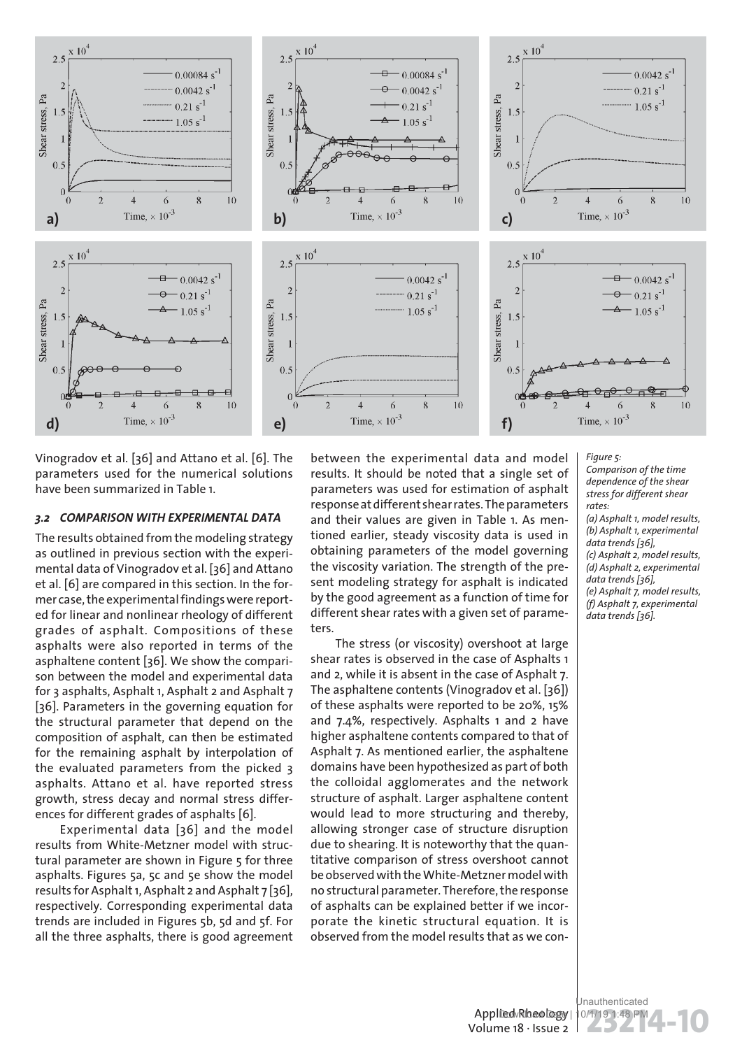

Vinogradov et al. [36] and Attano et al. [6]. The parameters used for the numerical solutions have been summarized in Table 1.

### *3.2 COMPARISON WITH EXPERIMENTAL DATA*

The results obtained from the modeling strategy as outlined in previous section with the experimental data of Vinogradov et al. [36] and Attano et al. [6] are compared in this section. In the former case, the experimental findings were reported for linear and nonlinear rheology of different grades of asphalt. Compositions of these asphalts were also reported in terms of the asphaltene content [36]. We show the comparison between the model and experimental data for 3 asphalts, Asphalt 1, Asphalt 2 and Asphalt 7 [36]. Parameters in the governing equation for the structural parameter that depend on the composition of asphalt, can then be estimated for the remaining asphalt by interpolation of the evaluated parameters from the picked 3 asphalts. Attano et al. have reported stress growth, stress decay and normal stress differences for different grades of asphalts [6].

Experimental data [36] and the model results from White-Metzner model with structural parameter are shown in Figure 5 for three asphalts. Figures 5a, 5c and 5e show the model results for Asphalt 1, Asphalt 2 and Asphalt 7 [36], respectively. Corresponding experimental data trends are included in Figures 5b, 5d and 5f. For all the three asphalts, there is good agreement

between the experimental data and model results. It should be noted that a single set of parameters was used for estimation of asphalt response at different shear rates. The parameters and their values are given in Table 1. As mentioned earlier, steady viscosity data is used in obtaining parameters of the model governing the viscosity variation. The strength of the present modeling strategy for asphalt is indicated by the good agreement as a function of time for different shear rates with a given set of parameters.

The stress (or viscosity) overshoot at large shear rates is observed in the case of Asphalts 1 and 2, while it is absent in the case of Asphalt 7. The asphaltene contents (Vinogradov et al. [36]) of these asphalts were reported to be 20%, 15% and 7.4%, respectively. Asphalts 1 and 2 have higher asphaltene contents compared to that of Asphalt 7. As mentioned earlier, the asphaltene domains have been hypothesized as part of both the colloidal agglomerates and the network structure of asphalt. Larger asphaltene content would lead to more structuring and thereby, allowing stronger case of structure disruption due to shearing. It is noteworthy that the quantitative comparison of stress overshoot cannot be observed with the White-Metzner model with no structural parameter. Therefore, the response of asphalts can be explained better if we incorporate the kinetic structural equation. It is observed from the model results that as we con*Figure 5: Comparison of the time dependence of the shear stress for different shear rates: (a) Asphalt 1, model results, (b) Asphalt 1, experimental data trends [36], (c) Asphalt 2, model results, (d) Asphalt 2, experimental data trends [36], (e) Asphalt 7, model results, (f) Asphalt 7, experimental data trends [36].*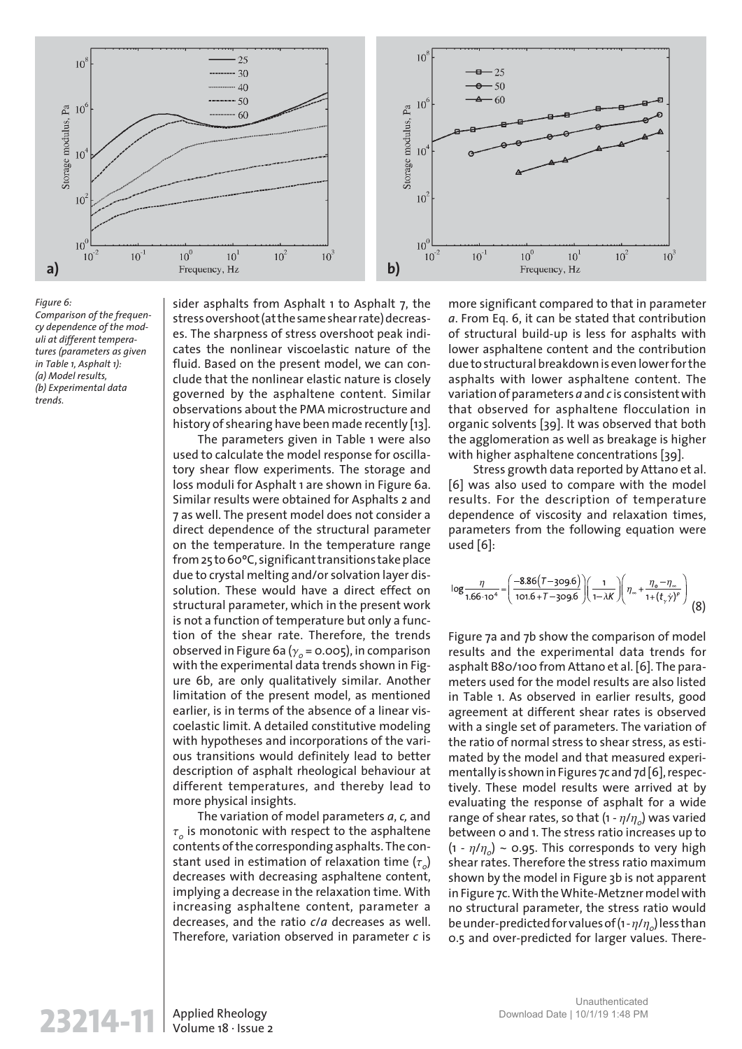

#### *Figure 6:*

*Comparison of the frequency dependence of the moduli at different temperatures (parameters as given in Table 1, Asphalt 1): (a) Model results, (b) Experimental data trends.*

sider asphalts from Asphalt 1 to Asphalt 7, the stress overshoot (at the same shear rate) decreases. The sharpness of stress overshoot peak indicates the nonlinear viscoelastic nature of the fluid. Based on the present model, we can conclude that the nonlinear elastic nature is closely governed by the asphaltene content. Similar observations about the PMA microstructure and history of shearing have been made recently [13].

The parameters given in Table 1 were also used to calculate the model response for oscillatory shear flow experiments. The storage and loss moduli for Asphalt 1 are shown in Figure 6a. Similar results were obtained for Asphalts 2 and 7 as well. The present model does not consider a direct dependence of the structural parameter on the temperature. In the temperature range from 25 to 60ºC, significant transitions take place due to crystal melting and/or solvation layer dissolution. These would have a direct effect on structural parameter, which in the present work is not a function of temperature but only a function of the shear rate. Therefore, the trends observed in Figure 6a ( $\gamma_{o}$  = 0.005), in comparison with the experimental data trends shown in Figure 6b, are only qualitatively similar. Another limitation of the present model, as mentioned earlier, is in terms of the absence of a linear viscoelastic limit. A detailed constitutive modeling with hypotheses and incorporations of the various transitions would definitely lead to better description of asphalt rheological behaviour at different temperatures, and thereby lead to more physical insights.

The variation of model parameters *a*, *c,* and  $\tau_o$  is monotonic with respect to the asphaltene contents of the corresponding asphalts. The constant used in estimation of relaxation time  $(\tau_o)$ decreases with decreasing asphaltene content, implying a decrease in the relaxation time. With increasing asphaltene content, parameter a decreases, and the ratio *c*/*a* decreases as well. Therefore, variation observed in parameter *c* is

more significant compared to that in parameter *a*. From Eq. 6, it can be stated that contribution of structural build-up is less for asphalts with lower asphaltene content and the contribution due to structural breakdown is even lower for the asphalts with lower asphaltene content. The variation of parameters *a* and *c* is consistent with that observed for asphaltene flocculation in organic solvents [39]. It was observed that both the agglomeration as well as breakage is higher with higher asphaltene concentrations [39].

Stress growth data reported by Attano et al. [6] was also used to compare with the model results. For the description of temperature dependence of viscosity and relaxation times, parameters from the following equation were used [6]:

$$
\log \frac{\eta}{1.66 \cdot 10^4} = \left(\frac{-8.86(T - 309.6)}{101.6 + T - 309.6}\right) \left(\frac{1}{1 - \lambda K}\right) \left(\eta_{\infty} + \frac{\eta_{\circ} - \eta_{\infty}}{1 + (t_{\gamma} \dot{\gamma})^p}\right)
$$
(8)

Figure 7a and 7b show the comparison of model results and the experimental data trends for asphalt B80/100 from Attano et al. [6]. The parameters used for the model results are also listed in Table 1. As observed in earlier results, good agreement at different shear rates is observed with a single set of parameters. The variation of the ratio of normal stress to shear stress, as estimated by the model and that measured experimentally is shown in Figures 7c and 7d [6], respectively. These model results were arrived at by evaluating the response of asphalt for a wide range of shear rates, so that (1 -  $\eta/\eta_o$ ) was varied between 0 and 1. The stress ratio increases up to  $(1 - \eta/\eta_o) \sim$  0.95. This corresponds to very high shear rates. Therefore the stress ratio maximum shown by the model in Figure 3b is not apparent in Figure 7c. With the White-Metzner model with no structural parameter, the stress ratio would be under-predicted for values of (1 -  $\eta/\eta_o$ ) less than 0.5 and over-predicted for larger values. There-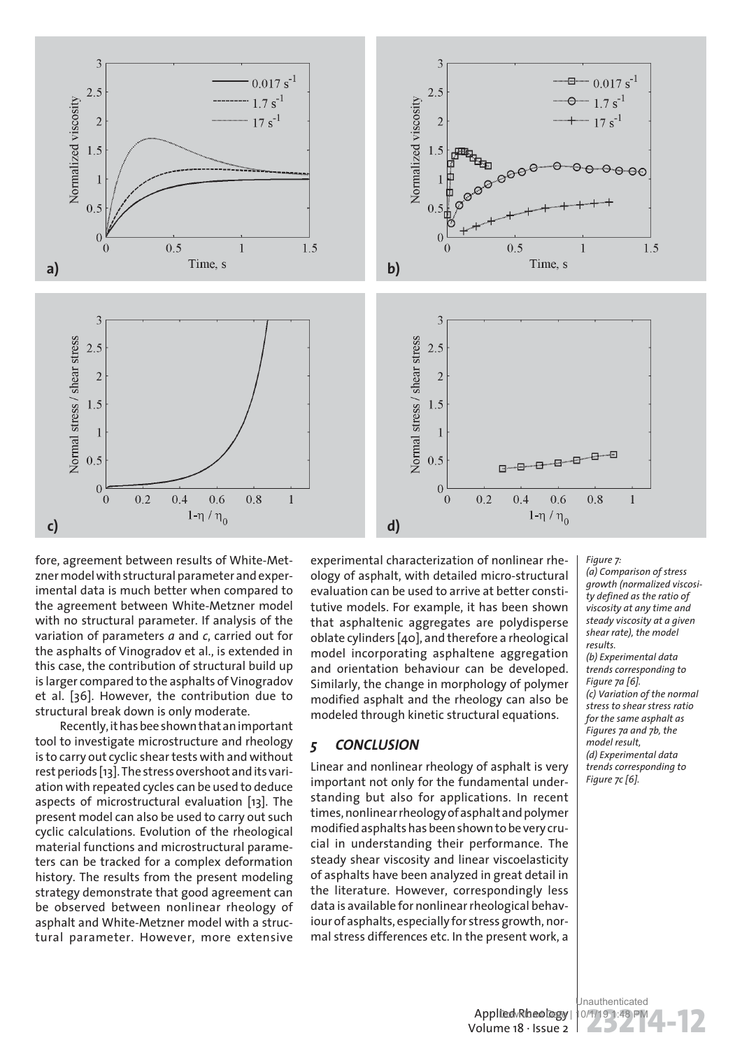

fore, agreement between results of White-Metzner model with structural parameter and experimental data is much better when compared to the agreement between White-Metzner model with no structural parameter. If analysis of the variation of parameters *a* and *c*, carried out for the asphalts of Vinogradov et al., is extended in this case, the contribution of structural build up is larger compared to the asphalts of Vinogradov et al. [36]. However, the contribution due to structural break down is only moderate.

Recently, it has bee shown that an important tool to investigate microstructure and rheology is to carry out cyclic shear tests with and without rest periods [13]. The stress overshoot and its variation with repeated cycles can be used to deduce aspects of microstructural evaluation [13]. The present model can also be used to carry out such cyclic calculations. Evolution of the rheological material functions and microstructural parameters can be tracked for a complex deformation history. The results from the present modeling strategy demonstrate that good agreement can be observed between nonlinear rheology of asphalt and White-Metzner model with a structural parameter. However, more extensive

experimental characterization of nonlinear rheology of asphalt, with detailed micro-structural evaluation can be used to arrive at better constitutive models. For example, it has been shown that asphaltenic aggregates are polydisperse oblate cylinders [40], and therefore a rheological model incorporating asphaltene aggregation and orientation behaviour can be developed. Similarly, the change in morphology of polymer modified asphalt and the rheology can also be modeled through kinetic structural equations.

## *5 CONCLUSION*

Linear and nonlinear rheology of asphalt is very important not only for the fundamental understanding but also for applications. In recent times, nonlinear rheology of asphalt and polymer modified asphalts has been shown to be very crucial in understanding their performance. The steady shear viscosity and linear viscoelasticity of asphalts have been analyzed in great detail in the literature. However, correspondingly less data is available for nonlinear rheological behaviour of asphalts, especially for stress growth, normal stress differences etc. In the present work, a

*Figure 7: (a) Comparison of stress growth (normalized viscosity defined as the ratio of viscosity at any time and steady viscosity at a given shear rate), the model results. (b) Experimental data trends corresponding to Figure 7a [6]. (c) Variation of the normal stress to shear stress ratio for the same asphalt as Figures 7a and 7b, the model result, (d) Experimental data trends corresponding to Figure 7c [6].*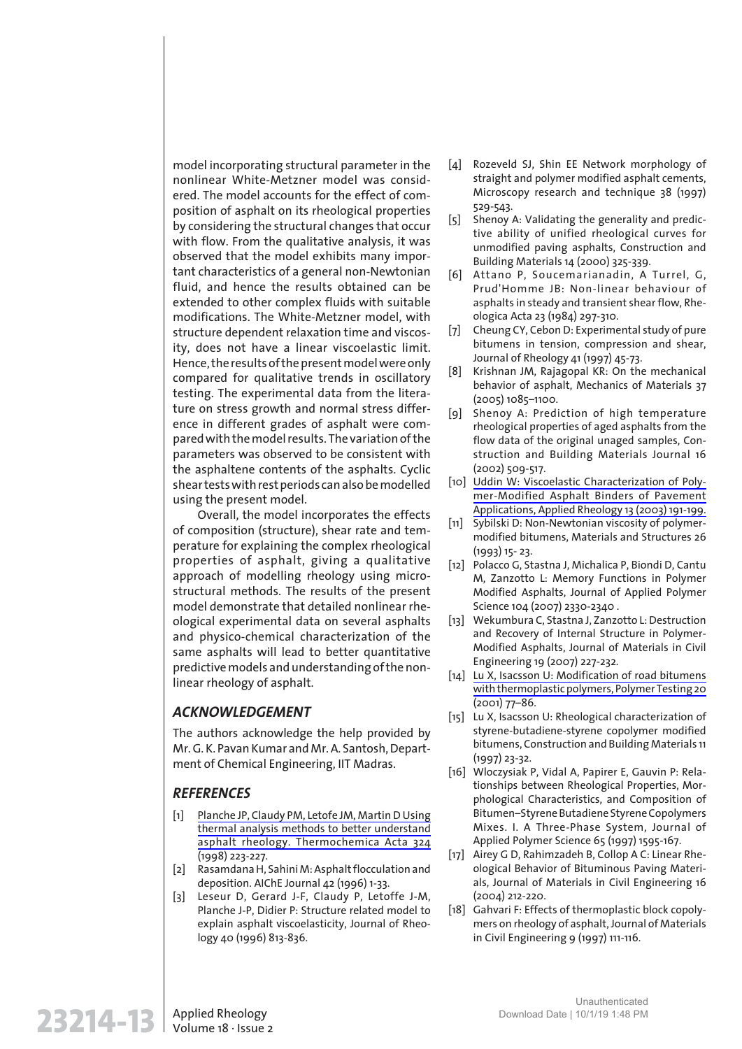model incorporating structural parameter in the nonlinear White-Metzner model was considered. The model accounts for the effect of composition of asphalt on its rheological properties by considering the structural changes that occur with flow. From the qualitative analysis, it was observed that the model exhibits many important characteristics of a general non-Newtonian fluid, and hence the results obtained can be extended to other complex fluids with suitable modifications. The White-Metzner model, with structure dependent relaxation time and viscosity, does not have a linear viscoelastic limit. Hence, the results of the present model were only compared for qualitative trends in oscillatory testing. The experimental data from the literature on stress growth and normal stress difference in different grades of asphalt were compared with the model results. The variation of the parameters was observed to be consistent with the asphaltene contents of the asphalts. Cyclic shear tests with rest periods can also be modelled using the present model.

Overall, the model incorporates the effects of composition (structure), shear rate and temperature for explaining the complex rheological properties of asphalt, giving a qualitative approach of modelling rheology using microstructural methods. The results of the present model demonstrate that detailed nonlinear rheological experimental data on several asphalts and physico-chemical characterization of the same asphalts will lead to better quantitative predictive models and understanding of the nonlinear rheology of asphalt.

## *ACKNOWLEDGEMENT*

The authors acknowledge the help provided by Mr. G. K. Pavan Kumar and Mr. A. Santosh, Department of Chemical Engineering, IIT Madras.

## *REFERENCES*

- [1] Planche JP, Claudy PM, Letofe JM, Martin D Using thermal analysis methods to better understand asphalt rheology. Thermochemica Acta 324 (1998) 223-227.
- [2] Rasamdana H, Sahini M: Asphalt flocculation and deposition. AIChE Journal 42 (1996) 1-33.
- [3] Leseur D, Gerard J-F, Claudy P, Letoffe J-M, Planche J-P, Didier P: Structure related model to explain asphalt viscoelasticity, Journal of Rheology 40 (1996) 813-836.
- [4] Rozeveld SJ, Shin EE Network morphology of straight and polymer modified asphalt cements, Microscopy research and technique 38 (1997) 529-543.
- [5] Shenoy A: Validating the generality and predictive ability of unified rheological curves for unmodified paving asphalts, Construction and Building Materials 14 (2000) 325-339.
- [6] Attano P, Soucemarianadin, A Turrel, G, Prud'Homme JB: Non-linear behaviour of asphalts in steady and transient shear flow, Rheologica Acta 23 (1984) 297-310.
- [7] Cheung CY, Cebon D: Experimental study of pure bitumens in tension, compression and shear, Journal of Rheology 41 (1997) 45-73.
- [8] Krishnan JM, Rajagopal KR: On the mechanical behavior of asphalt, Mechanics of Materials 37 (2005) 1085–1100.
- [9] Shenoy A: Prediction of high temperature rheological properties of aged asphalts from the flow data of the original unaged samples, Construction and Building Materials Journal 16 (2002) 509-517.
- [10] Uddin W: Viscoelastic Characterization of Polymer-Modified Asphalt Binders of Pavement Applications, Applied Rheology 13 (2003) 191-199.
- [11] Sybilski D: Non-Newtonian viscosity of polymermodified bitumens, Materials and Structures 26 (1993) 15- 23.
- [12] Polacco G, Stastna J, Michalica P, Biondi D, Cantu M, Zanzotto L: Memory Functions in Polymer Modified Asphalts, Journal of Applied Polymer Science 104 (2007) 2330-2340 .
- [13] Wekumbura C, Stastna J, Zanzotto L: Destruction and Recovery of Internal Structure in Polymer-Modified Asphalts, Journal of Materials in Civil Engineering 19 (2007) 227-232.
- [14] Lu X, Isacsson U: Modification of road bitumens with thermoplastic polymers, Polymer Testing 20 (2001) 77–86.
- [15] Lu X, Isacsson U: Rheological characterization of styrene-butadiene-styrene copolymer modified bitumens, Construction and Building Materials 11 (1997) 23-32.
- [16] Wloczysiak P, Vidal A, Papirer E, Gauvin P: Relationships between Rheological Properties, Morphological Characteristics, and Composition of Bitumen–Styrene Butadiene Styrene Copolymers Mixes. I. A Three-Phase System, Journal of Applied Polymer Science 65 (1997) 1595-167.
- [17] Airey G D, Rahimzadeh B, Collop A C: Linear Rheological Behavior of Bituminous Paving Materials, Journal of Materials in Civil Engineering 16 (2004) 212-220.
- [18] Gahvari F: Effects of thermoplastic block copolymers on rheology of asphalt, Journal of Materials in Civil Engineering 9 (1997) 111-116.